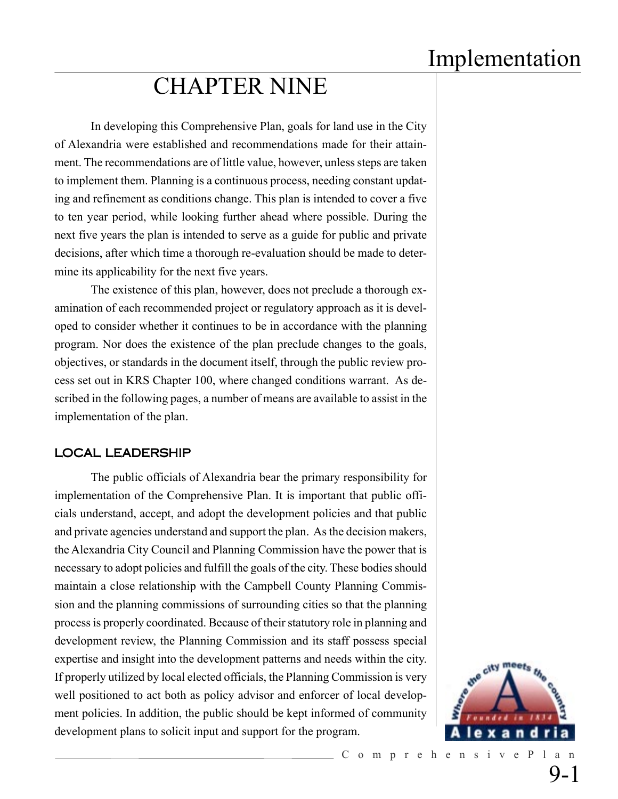# CHAPTER NINE

In developing this Comprehensive Plan, goals for land use in the City of Alexandria were established and recommendations made for their attainment. The recommendations are of little value, however, unless steps are taken to implement them. Planning is a continuous process, needing constant updating and refinement as conditions change. This plan is intended to cover a five to ten year period, while looking further ahead where possible. During the next five years the plan is intended to serve as a guide for public and private decisions, after which time a thorough re-evaluation should be made to determine its applicability for the next five years.

The existence of this plan, however, does not preclude a thorough examination of each recommended project or regulatory approach as it is developed to consider whether it continues to be in accordance with the planning program. Nor does the existence of the plan preclude changes to the goals, objectives, or standards in the document itself, through the public review process set out in KRS Chapter 100, where changed conditions warrant. As described in the following pages, a number of means are available to assist in the implementation of the plan.

#### LOCAL LEADERSHIP

The public officials of Alexandria bear the primary responsibility for implementation of the Comprehensive Plan. It is important that public officials understand, accept, and adopt the development policies and that public and private agencies understand and support the plan. As the decision makers, the Alexandria City Council and Planning Commission have the power that is necessary to adopt policies and fulfill the goals of the city. These bodies should maintain a close relationship with the Campbell County Planning Commission and the planning commissions of surrounding cities so that the planning process is properly coordinated. Because of their statutory role in planning and development review, the Planning Commission and its staff possess special expertise and insight into the development patterns and needs within the city. If properly utilized by local elected officials, the Planning Commission is very well positioned to act both as policy advisor and enforcer of local development policies. In addition, the public should be kept informed of community development plans to solicit input and support for the program.

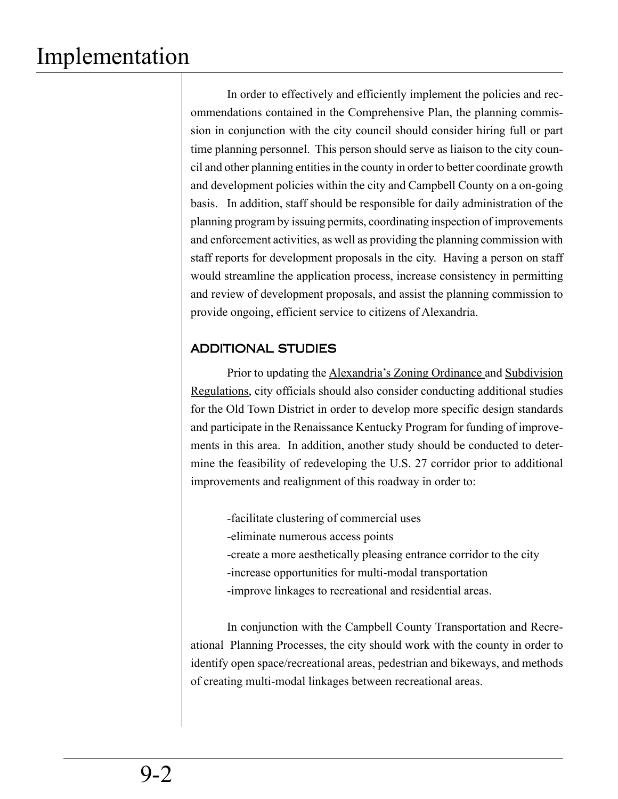In order to effectively and efficiently implement the policies and recommendations contained in the Comprehensive Plan, the planning commission in conjunction with the city council should consider hiring full or part time planning personnel. This person should serve as liaison to the city council and other planning entities in the county in order to better coordinate growth and development policies within the city and Campbell County on a on-going basis. In addition, staff should be responsible for daily administration of the planning program by issuing permits, coordinating inspection of improvements and enforcement activities, as well as providing the planning commission with staff reports for development proposals in the city. Having a person on staff would streamline the application process, increase consistency in permitting and review of development proposals, and assist the planning commission to provide ongoing, efficient service to citizens of Alexandria.

### ADDITIONAL STUDIES

Prior to updating the Alexandria's Zoning Ordinance and Subdivision Regulations, city officials should also consider conducting additional studies for the Old Town District in order to develop more specific design standards and participate in the Renaissance Kentucky Program for funding of improvements in this area. In addition, another study should be conducted to determine the feasibility of redeveloping the U.S. 27 corridor prior to additional improvements and realignment of this roadway in order to:

-facilitate clustering of commercial uses -eliminate numerous access points -create a more aesthetically pleasing entrance corridor to the city -increase opportunities for multi-modal transportation -improve linkages to recreational and residential areas.

In conjunction with the Campbell County Transportation and Recreational Planning Processes, the city should work with the county in order to identify open space/recreational areas, pedestrian and bikeways, and methods of creating multi-modal linkages between recreational areas.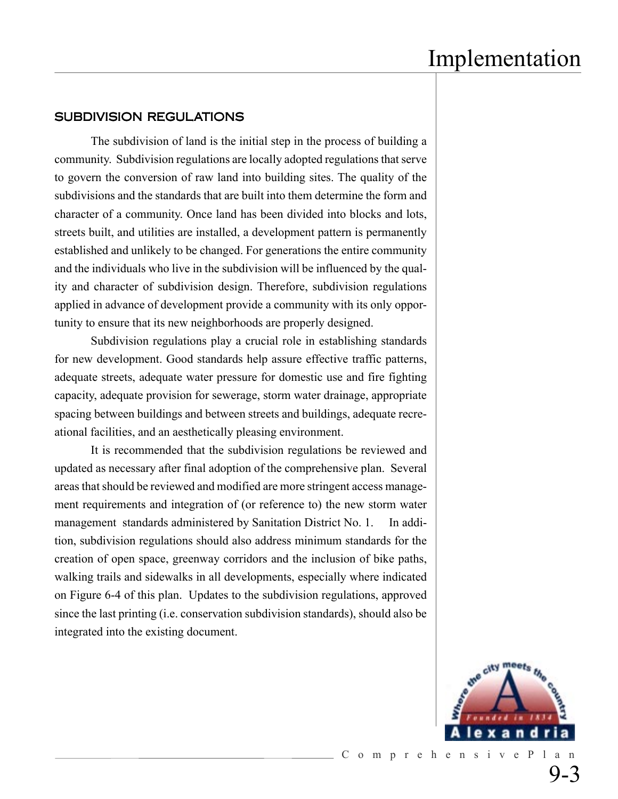#### SUBDIVISION REGULATIONS

The subdivision of land is the initial step in the process of building a community. Subdivision regulations are locally adopted regulations that serve to govern the conversion of raw land into building sites. The quality of the subdivisions and the standards that are built into them determine the form and character of a community. Once land has been divided into blocks and lots, streets built, and utilities are installed, a development pattern is permanently established and unlikely to be changed. For generations the entire community and the individuals who live in the subdivision will be influenced by the quality and character of subdivision design. Therefore, subdivision regulations applied in advance of development provide a community with its only opportunity to ensure that its new neighborhoods are properly designed.

Subdivision regulations play a crucial role in establishing standards for new development. Good standards help assure effective traffic patterns, adequate streets, adequate water pressure for domestic use and fire fighting capacity, adequate provision for sewerage, storm water drainage, appropriate spacing between buildings and between streets and buildings, adequate recreational facilities, and an aesthetically pleasing environment.

It is recommended that the subdivision regulations be reviewed and updated as necessary after final adoption of the comprehensive plan. Several areas that should be reviewed and modified are more stringent access management requirements and integration of (or reference to) the new storm water management standards administered by Sanitation District No. 1. In addition, subdivision regulations should also address minimum standards for the creation of open space, greenway corridors and the inclusion of bike paths, walking trails and sidewalks in all developments, especially where indicated on Figure 6-4 of this plan. Updates to the subdivision regulations, approved since the last printing (i.e. conservation subdivision standards), should also be integrated into the existing document.

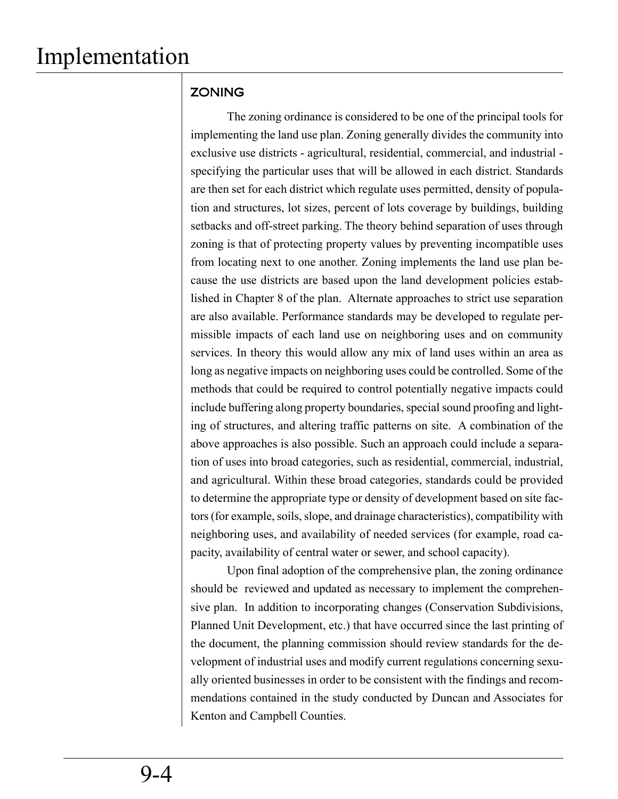## **ZONING**

The zoning ordinance is considered to be one of the principal tools for implementing the land use plan. Zoning generally divides the community into exclusive use districts - agricultural, residential, commercial, and industrial specifying the particular uses that will be allowed in each district. Standards are then set for each district which regulate uses permitted, density of population and structures, lot sizes, percent of lots coverage by buildings, building setbacks and off-street parking. The theory behind separation of uses through zoning is that of protecting property values by preventing incompatible uses from locating next to one another. Zoning implements the land use plan because the use districts are based upon the land development policies established in Chapter 8 of the plan. Alternate approaches to strict use separation are also available. Performance standards may be developed to regulate permissible impacts of each land use on neighboring uses and on community services. In theory this would allow any mix of land uses within an area as long as negative impacts on neighboring uses could be controlled. Some of the methods that could be required to control potentially negative impacts could include buffering along property boundaries, special sound proofing and lighting of structures, and altering traffic patterns on site. A combination of the above approaches is also possible. Such an approach could include a separation of uses into broad categories, such as residential, commercial, industrial, and agricultural. Within these broad categories, standards could be provided to determine the appropriate type or density of development based on site factors (for example, soils, slope, and drainage characteristics), compatibility with neighboring uses, and availability of needed services (for example, road capacity, availability of central water or sewer, and school capacity).

Upon final adoption of the comprehensive plan, the zoning ordinance should be reviewed and updated as necessary to implement the comprehensive plan. In addition to incorporating changes (Conservation Subdivisions, Planned Unit Development, etc.) that have occurred since the last printing of the document, the planning commission should review standards for the development of industrial uses and modify current regulations concerning sexually oriented businesses in order to be consistent with the findings and recommendations contained in the study conducted by Duncan and Associates for Kenton and Campbell Counties.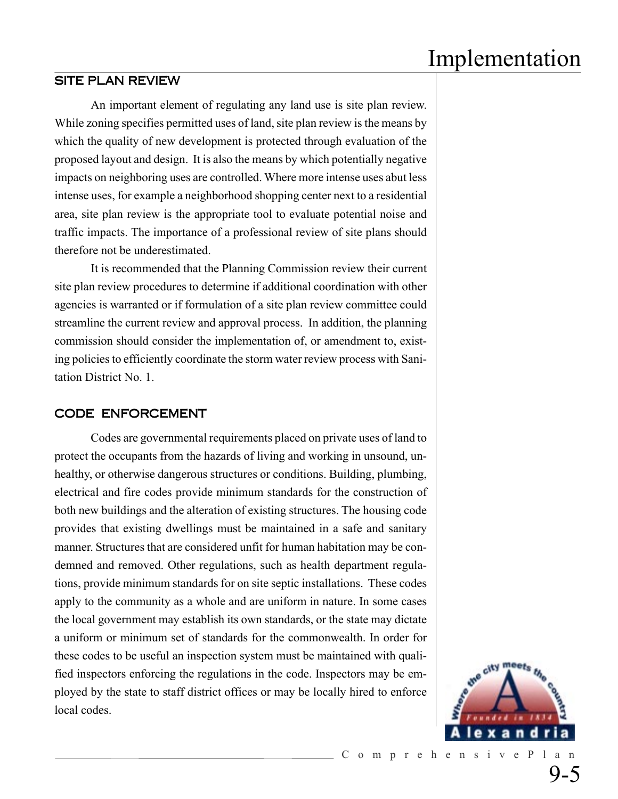#### SITE PLAN REVIEW

An important element of regulating any land use is site plan review. While zoning specifies permitted uses of land, site plan review is the means by which the quality of new development is protected through evaluation of the proposed layout and design. It is also the means by which potentially negative impacts on neighboring uses are controlled. Where more intense uses abut less intense uses, for example a neighborhood shopping center next to a residential area, site plan review is the appropriate tool to evaluate potential noise and traffic impacts. The importance of a professional review of site plans should therefore not be underestimated.

It is recommended that the Planning Commission review their current site plan review procedures to determine if additional coordination with other agencies is warranted or if formulation of a site plan review committee could streamline the current review and approval process. In addition, the planning commission should consider the implementation of, or amendment to, existing policies to efficiently coordinate the storm water review process with Sanitation District No. 1.

#### CODE ENFORCEMENT

Codes are governmental requirements placed on private uses of land to protect the occupants from the hazards of living and working in unsound, unhealthy, or otherwise dangerous structures or conditions. Building, plumbing, electrical and fire codes provide minimum standards for the construction of both new buildings and the alteration of existing structures. The housing code provides that existing dwellings must be maintained in a safe and sanitary manner. Structures that are considered unfit for human habitation may be condemned and removed. Other regulations, such as health department regulations, provide minimum standards for on site septic installations. These codes apply to the community as a whole and are uniform in nature. In some cases the local government may establish its own standards, or the state may dictate a uniform or minimum set of standards for the commonwealth. In order for these codes to be useful an inspection system must be maintained with qualified inspectors enforcing the regulations in the code. Inspectors may be employed by the state to staff district offices or may be locally hired to enforce local codes.

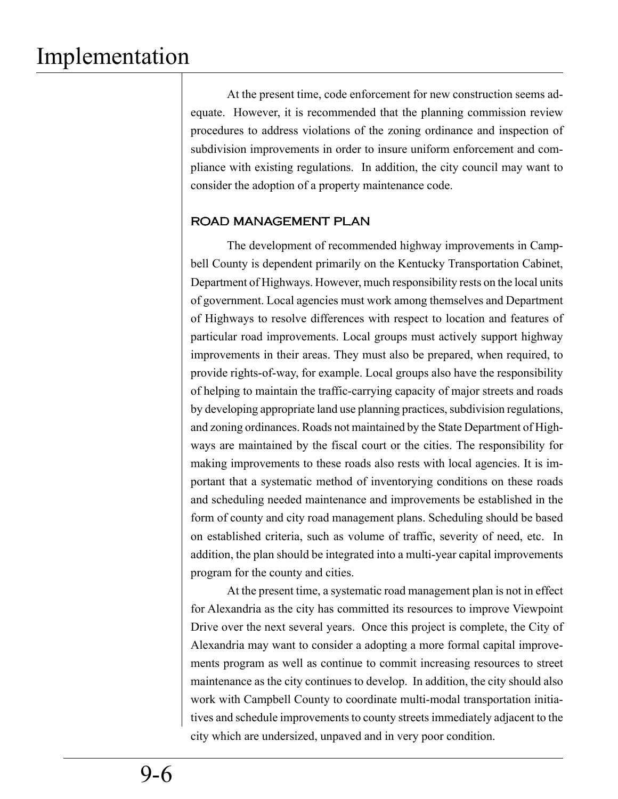At the present time, code enforcement for new construction seems adequate. However, it is recommended that the planning commission review procedures to address violations of the zoning ordinance and inspection of subdivision improvements in order to insure uniform enforcement and compliance with existing regulations. In addition, the city council may want to consider the adoption of a property maintenance code.

#### ROAD MANAGEMENT PLAN

The development of recommended highway improvements in Campbell County is dependent primarily on the Kentucky Transportation Cabinet, Department of Highways. However, much responsibility rests on the local units of government. Local agencies must work among themselves and Department of Highways to resolve differences with respect to location and features of particular road improvements. Local groups must actively support highway improvements in their areas. They must also be prepared, when required, to provide rights-of-way, for example. Local groups also have the responsibility of helping to maintain the traffic-carrying capacity of major streets and roads by developing appropriate land use planning practices, subdivision regulations, and zoning ordinances. Roads not maintained by the State Department of Highways are maintained by the fiscal court or the cities. The responsibility for making improvements to these roads also rests with local agencies. It is important that a systematic method of inventorying conditions on these roads and scheduling needed maintenance and improvements be established in the form of county and city road management plans. Scheduling should be based on established criteria, such as volume of traffic, severity of need, etc. In addition, the plan should be integrated into a multi-year capital improvements program for the county and cities.

At the present time, a systematic road management plan is not in effect for Alexandria as the city has committed its resources to improve Viewpoint Drive over the next several years. Once this project is complete, the City of Alexandria may want to consider a adopting a more formal capital improvements program as well as continue to commit increasing resources to street maintenance as the city continues to develop. In addition, the city should also work with Campbell County to coordinate multi-modal transportation initiatives and schedule improvements to county streets immediately adjacent to the city which are undersized, unpaved and in very poor condition.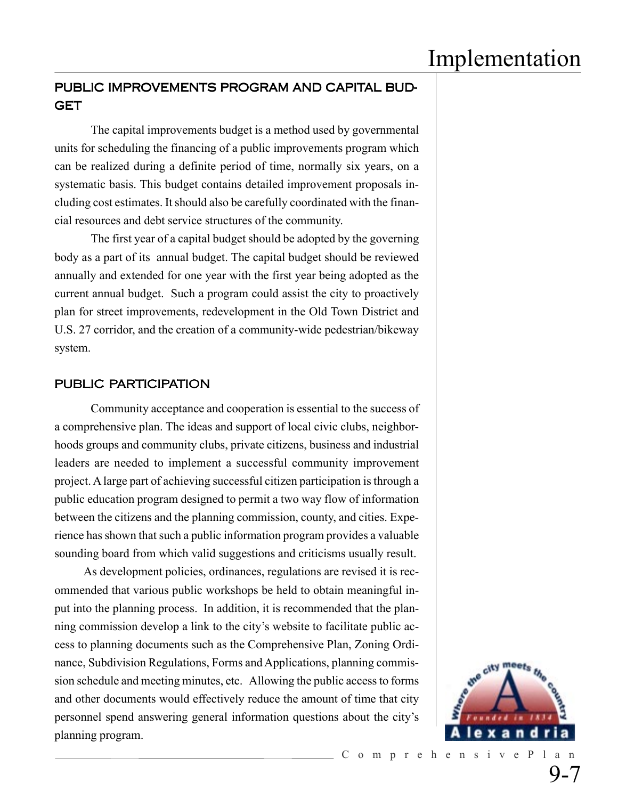## PUBLIC IMPROVEMENTS PROGRAM AND CAPITAL BUD-GET

The capital improvements budget is a method used by governmental units for scheduling the financing of a public improvements program which can be realized during a definite period of time, normally six years, on a systematic basis. This budget contains detailed improvement proposals including cost estimates. It should also be carefully coordinated with the financial resources and debt service structures of the community.

The first year of a capital budget should be adopted by the governing body as a part of its annual budget. The capital budget should be reviewed annually and extended for one year with the first year being adopted as the current annual budget. Such a program could assist the city to proactively plan for street improvements, redevelopment in the Old Town District and U.S. 27 corridor, and the creation of a community-wide pedestrian/bikeway system.

#### PUBLIC PARTICIPATION

Community acceptance and cooperation is essential to the success of a comprehensive plan. The ideas and support of local civic clubs, neighborhoods groups and community clubs, private citizens, business and industrial leaders are needed to implement a successful community improvement project. A large part of achieving successful citizen participation is through a public education program designed to permit a two way flow of information between the citizens and the planning commission, county, and cities. Experience has shown that such a public information program provides a valuable sounding board from which valid suggestions and criticisms usually result.

As development policies, ordinances, regulations are revised it is recommended that various public workshops be held to obtain meaningful input into the planning process. In addition, it is recommended that the planning commission develop a link to the city's website to facilitate public access to planning documents such as the Comprehensive Plan, Zoning Ordinance, Subdivision Regulations, Forms and Applications, planning commission schedule and meeting minutes, etc. Allowing the public access to forms and other documents would effectively reduce the amount of time that city personnel spend answering general information questions about the city's planning program.



9-7